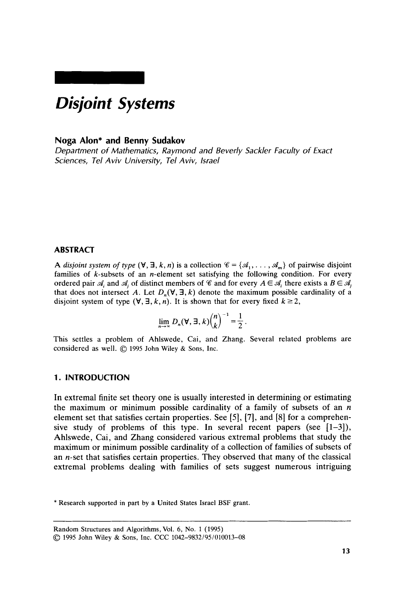# *Disjoint Systems*

## **Noga Alon\* and Benny Sudakov**

*Department of Mathematics, Raymond and Beverly Sackler Faculty of Exact Sciences, Tel Aviv University, Tel Aviv, Israel* 

# **ABSTRACT**

**A** disjoint system of type  $(\forall, \exists, k, n)$  is a collection  $\mathscr{C} = {\mathscr{A}_1, \dots, \mathscr{A}_m}$  of pairwise disjoint families of  $k$ -subsets of an *n*-element set satisfying the following condition. For every ordered pair  $\mathcal{A}_i$  and  $\mathcal{A}_i$  of distinct members of  $\mathcal{C}$  and for every  $A \in \mathcal{A}_i$  there exists a  $B \in \mathcal{A}_i$ that does not intersect A. Let  $D_n(\forall, \exists, k)$  denote the maximum possible cardinality of a disjoint system of type  $(\forall, \exists, k, n)$ . It is shown that for every fixed  $k \ge 2$ ,

$$
\lim_{n\to\infty} D_n(\mathbf{\nabla}, \mathbf{\exists}, k) {n \choose k}^{-1} = \frac{1}{2}.
$$

This settles a problem of Ahlswede, Cai, and Zhang. Several related problems are considered as well. *0* <sup>1995</sup>**John Wiley** & **Sons, Inc.** 

## **1. INTRODUCTION**

In extremal finite set theory one is usually interested in determining or estimating the maximum or minimum possible cardinality of a family of subsets of an *n*  element set that satisfies certain properties. See **(51, [7],** and **[8]** for a comprehensive study of problems of this type. In several recent papers (see  $[1-3]$ ), Ahlswede, Cai, and Zhang considered various extremal problems that study the maximum or minimum possible cardinality of a collection of families of subsets of an n-set that satisfies certain properties. They observed that many **of** the classical extremal problems dealing with families of sets suggest numerous intriguing

\* **Research supported in part by a United States Israel BSF grant.** 

**Random Structures and Algorithms,** Vol. **6,** No. **1** (1995) *0* <sup>1995</sup>**John Wiley** & Sons, **Inc. CCC** 1042-98321951010013-08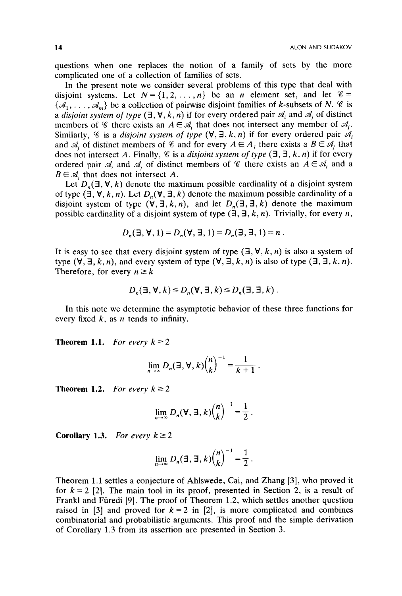questions when one replaces the notion of a family of sets by the more complicated one of a collection of families of sets.

In the present note we consider several problems of this type that deal with disjoint systems. Let  $N = \{1, 2, ..., n\}$  be an *n* element set, and let  $\mathscr{C} =$  $\{\mathcal{A}_1, \ldots, \mathcal{A}_m\}$  be a collection of pairwise disjoint families of *k*-subsets of *N. %* is a *disjoint system of type*  $(\exists, \forall, k, n)$  if for every ordered pair  $\mathcal{A}_i$  and  $\mathcal{A}_j$  of distinct members of  $\mathscr C$  there exists an  $A \in \mathscr A_i$  that does not intersect any member of  $\mathscr A_i$ . Similarly,  $\mathscr C$  is a *disjoint system of type*  $(\forall, \exists, k, n)$  if for every ordered pair  $\mathscr A_i$ and  $\mathcal{A}_i$  of distinct members of  $\mathcal{C}$  and for every  $A \in A_i$ , there exists a  $B \in \mathcal{A}_i$ , that does not intersect A. Finally,  $\mathscr C$  is a *disjoint system of type*  $(\exists, \exists, k, n)$  if for every ordered pair  $A_i$  and  $A_j$  of distinct members of  $\mathscr C$  there exists an  $A \in \mathscr A_i$  and a  $B \in \mathcal{A}_i$  that does not intersect *A*.

Let  $D_n(\exists, \forall, k)$  denote the maximum possible cardinality of a disjoint system of type  $(\exists, \forall, k, n)$ . Let  $D_n(\forall, \exists, k)$  denote the maximum possible cardinality of a disjoint system of type  $(\forall, \exists, k, n)$ , and let  $D_n(\exists, \exists, k)$  denote the maximum possible cardinality of a disjoint system of type  $(\exists, \exists, k, n)$ . Trivially, for every *n*,

$$
D_n(\exists, \forall, 1) = D_n(\forall, \exists, 1) = D_n(\exists, \exists, 1) = n
$$
.

It is easy to see that every disjoint system of type  $(\exists, \forall, k, n)$  is also a system of type  $(\forall, \exists, k, n)$ , and every system of type  $(\forall, \exists, k, n)$  is also of type  $(\exists, \exists, k, n)$ . Therefore, for every  $n \geq k$ 

$$
D_n(\exists, \forall, k) \le D_n(\forall, \exists, k) \le D_n(\exists, \exists, k).
$$

In this note we determine the asymptotic behavior of these three functions for every fixed k, as *n* tends to infinity.

**Theorem 1.1.** *For every*  $k \ge 2$ 

$$
\lim_{n\to\infty} D_n(\exists, \forall, k) {n \choose k}^{-1} = \frac{1}{k+1}.
$$

**Theorem 1.2.** *For every*  $k \ge 2$ 

$$
\lim_{n\to\infty} D_n(\mathbf{\nabla},\mathbf{\Xi},k) {n \choose k}^{-1} = \frac{1}{2}.
$$

**Corollary 1.3.** *For every*  $k \geq 2$ 

$$
\lim_{n\to\infty} D_n(\exists, \exists, k) {n \choose k}^{-1} = \frac{1}{2}.
$$

Theorem 1.1 settles a conjecture of Ahlswede, Cai, and Zhang [3], who proved it for  $k = 2$  [2]. The main tool in its proof, presented in Section 2, is a result of Frank1 and Furedi [9]. The proof of Theorem 1.2, which settles another question raised in  $\begin{bmatrix} 3 \end{bmatrix}$  and proved for  $k=2$  in  $\begin{bmatrix} 2 \end{bmatrix}$ , is more complicated and combines combinatorial and probabilistic arguments. This proof and the simple derivation of Corollary 1.3 from its assertion are presented in Section **3.**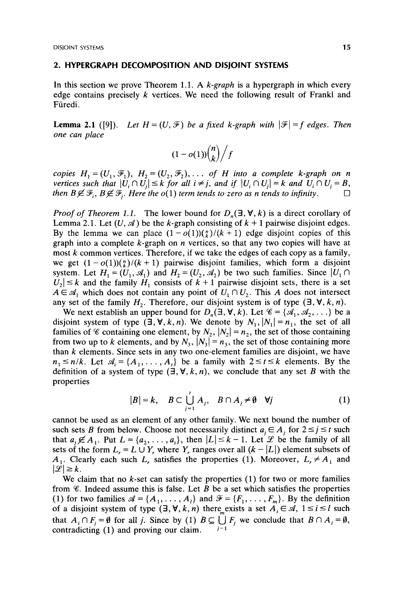### **2. HYPERGRAPH DECOMPOSITION AND DISJOINT SYSTEMS**

In this section we prove Theorem 1.1. **A** *k-graph* is a hypergraph in which every edge contains precisely k vertices. We need the following result of Frankl and Füredi.

**Lemma 2.1** ([9]). Let  $H = (U, \mathcal{F})$  be a fixed k-graph with  $|\mathcal{F}| = f$  edges. Then *one can place* 

$$
(1-o(1))\binom{n}{k}/f
$$

*copies*  $H_1 = (U_1, \mathcal{F}_1)$ ,  $H_2 = (U_2, \mathcal{F}_2)$ ,  $\ldots$  of *H* into a complete k-graph on n *vertices such that*  $|U_i \cap U_j| \leq k$  *for all*  $i \neq j$ *, and if*  $|U_i \cap U_j| = k$  *and*  $U_i \cap U_j = B$ , *then B* $\notin$   $\mathcal{F}_i$ , *B* $\notin$   $\mathcal{F}_i$ . *Here the o(1) term tends to zero as n tends to infinity.* 

*Proof of Theorem 1.1.* The lower bound for  $D_n(\exists, \forall, k)$  is a direct corollary of Lemma 2.1. Let  $(U, \mathcal{A})$  be the k-graph consisting of  $k + 1$  pairwise disjoint edges. By the lemma we can place  $(1 - o(1))\binom{n}{k}$  (k + 1) edge disjoint copies of this graph into a complete k-graph on *n* vertices, so that any two copies will have at most  $k$  common vertices. Therefore, if we take the edges of each copy as a family, we get  $(1 - o(1))\binom{n}{k}/(k + 1)$  pairwise disjoint families, which form a disjoint system. Let  $H_1 = (U_1, \mathcal{A}_1)$  and  $H_2 = (U_2, \mathcal{A}_2)$  be two such families. Since  $|U_1 \cap$  $|U_2| \le k$  and the family  $H_1$  consists of  $k + 1$  pairwise disjoint sets, there is a set  $A \in \mathcal{A}_1$  which does not contain any point of  $U_1 \cap U_2$ . This *A* does not intersect any set of the family  $H_2$ . Therefore, our disjoint system is of type  $(\exists, \forall, k, n)$ .

We next establish an upper bound for  $D_n(\exists, \forall, k)$ . Let  $\mathscr{C} = \{A_1, A_2, \ldots\}$  be a disjoint system of type  $(\exists, \forall, k, n)$ . We denote by  $N_1$ ,  $|N_1| = n_1$ , the set of all families of  $\mathscr C$  containing one element, by  $N_2$ ,  $|N_2| = n_2$ , the set of those containing from two up to k elements, and by  $N_3$ ,  $[N_3] = n_3$ , the set of those containing more than  $k$  elements. Since sets in any two one-element families are disjoint, we have  $n_1 \le n/k$ . Let  $\mathcal{A}_i = \{A_1, \ldots, A_t\}$  be a family with  $2 \le t \le k$  elements. By the definition of a system of type  $(\exists, \forall, k, n)$ , we conclude that any set *B* with the properties

$$
|B| = k, \quad B \subset \bigcup_{j=1}^{l} A_j, \quad B \cap A_j \neq \emptyset \quad \forall j \tag{1}
$$

cannot be used as an element of any other family. We next bound the number of cannot be used as an element of any other family. We next bound the number of<br>such sets *B* from below. Choose not necessarily distinct  $a_j \in A_j$  for  $2 \le j \le t$  such<br>that  $a_j \notin A$ . But  $I = \{a_j, a_j\}$ , then  $|I| \le k - 1$ . Let  $\$ such sets *B* from below. Choose not necessarily distinct  $a_j \in A_j$  for  $2 \le j \le t$  such that  $a_j \notin A_1$ . Put  $L = \{a_2, \ldots, a_t\}$ , then  $|L| \le k - 1$ . Let *L* be the family of all sets of the form  $L<sub>r</sub> = L \cup Y$ , where  $Y<sub>r</sub>$  ranges over all  $(k - |L|)$  element subsets of  $A_1$ . Clearly each such *L*, satisfies the properties (1). Moreover,  $L_r \neq A_1$  and  $|\mathcal{L}| \geq k$ .

We claim that no  $k$ -set can satisfy the properties  $(1)$  for two or more families from %. Indeed assume this is false. Let *B* be a set which satisfies the properties (1) for two families  $\mathcal{A} = \{A_1, \ldots, A_l\}$  and  $\mathcal{F} = \{F_1, \ldots, F_m\}$ . By the definition of a disjoint system of type  $(\exists, \forall, k, n)$  there exists a set  $A_i \in \mathcal{A}, 1 \le i \le l$  such that  $A_i \cap F_j = \emptyset$  for all *j*. Since by (1)  $B \subseteq \bigcup_{i=1}^{m} F_j$  we conclude that  $B \cap A_i = \emptyset$ , contradicting  $(1)$  and proving our claim.  $j=1$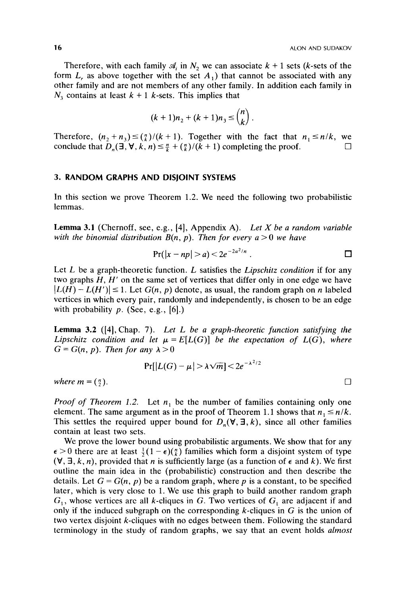Therefore, with each family  $\mathcal{A}_i$  in  $N_2$  we can associate  $k + 1$  sets (k-sets of the form  $L$ , as above together with the set  $A_1$ ) that cannot be associated with any other family and are not members of any other family. In addition each family in  $N_3$  contains at least  $k + 1$  k-sets. This implies that

$$
(k+1)n_2 + (k+1)n_3 \leq {n \choose k}.
$$

Therefore,  $(n_2 + n_3) \leq {n \choose k}/(k + 1)$ . Together with the fact that  $n_1 \leq n/k$ , we conclude that  $D_n(\exists, \forall, k, n) \leq \frac{n}{k} + \binom{n}{k} / (k+1)$  completing the proof.  $\square$ 

## **3. RANDOM GRAPHS AND DISJOINT SYSTEMS**

In this section we prove Theorem 1.2. We need the following two probabilistic lemmas.

Lemma 3.1 (Chernoff, see, e.g., [4], Appendix A). Let X be a random variable *with the binomial distribution*  $B(n, p)$ *. Then for every*  $a > 0$  *we have* 

$$
Pr(|x - np| > a) < 2e^{-2a^2/n} .
$$

Let *L* be a graph-theoretic function. *L* satisfies the *Lipschitz condition* if for any two graphs *H, H'* on the same set of vertices that differ only in one edge we have  $|L(H) - L(H')| \leq 1$ . Let *G(n, p)* denote, as usual, the random graph on *n* labeled vertices in which every pair, randomly and independently, is chosen to be an edge with probability  $p$ . (See, e.g., [6].)

**Lemma 3.2 ([4],** Chap. *7). Let L be a graph-theoretic function satisfying the Lipschitz condition and let*  $\mu = E[L(G)]$  *be the expectation of L(G), where*  $G = G(n, p)$ . Then for any  $\lambda > 0$ 

$$
\Pr[|L(G) - \mu| > \lambda \sqrt{m}] < 2e^{-\lambda^2/2}
$$

*where*  $m = \binom{n}{2}$ .

*Proof of Theorem 1.2.* Let  $n_1$  be the number of families containing only one element. The same argument as in the proof of Theorem 1.1 shows that  $n_1 \le n/k$ . This settles the required upper bound for  $D_n(\forall, \exists, k)$ , since all other families contain at least two sets.

We prove the lower bound using probabilistic arguments. We show that for any  $\epsilon > 0$  there are at least  $\frac{1}{2}(1 - \epsilon)(\frac{n}{k})$  families which form a disjoint system of type  $(\forall, \exists, k, n)$ , provided that *n* is sufficiently large (as a function of  $\epsilon$  and *k*). We first outline the main idea in the (probabilistic) construction and then describe the details. Let  $G = G(n, p)$  be a random graph, where p is a constant, to be specified later, which is very close to 1. We use this graph to build another random graph  $G_1$ , whose vertices are all k-cliques in G. Two vertices of  $G_1$  are adjacent if and only if the induced subgraph on the corresponding k-cliques in *G* is the union of two vertex disjoint k-cliques with no edges between them. Following the standard terminology in the study of random graphs, we say that an event holds *almost*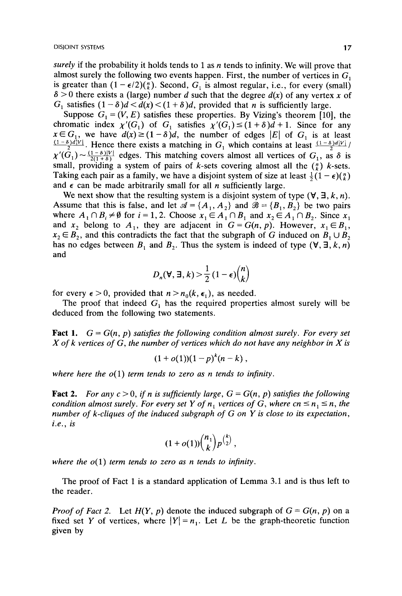*surely* if the probability it holds tends to 1 as *n* tends to infinity. We will prove that almost surely the following two events happen. First, the number of vertices in  $G_1$ is greater than  $(1 - \epsilon/2)$  $\binom{n}{k}$ . Second,  $G_i$  is almost regular, i.e., for every (small)  $\delta$  > 0 there exists a (large) number *d* such that the degree  $d(x)$  of any vertex *x* of G<sub>1</sub> satisfies  $(1 - \delta)d < d(x) < (1 + \delta)d$ , provided that *n* is sufficiently large.

Suppose  $G_1 = (V, E)$  satisfies these properties. By Vizing's theorem [10], the  $G_1$  satisfies  $(1 - \delta)d < d(x) < (1 + \delta)d$ , provided that *n* is sufficiently large.<br>Suppose  $G_1 = (V, E)$  satisfies these properties. By Vizing's theorem [10], the chromatic index  $\chi'(G_1)$  of  $G_1$  satisfies  $\chi'(G_1) \le (1 + \delta)d + 1$  $x \in G_1$ , we have  $d(x) \ge (1-\delta)d$ , the number of edges  $|E|$  of  $G_1$  is at least  $\frac{(1-\delta)d|V|}{2}$ . Hence there exists a matching in  $G_1$  which contains at least  $\frac{(1-\delta)d|V|}{2}$  $\chi'(G_1) \sim \frac{(1-\delta)|V|}{2(1+\delta)}$  edges. This matching covers almost all vertices of  $G_1$ , as  $\delta$  is small, providing a system of pairs of k-sets covering almost all the  $\binom{n}{k}$  k-sets. Taking each pair as a family, we have a disjoint system of size at least  $\frac{1}{2}(1 - \epsilon)\binom{n}{k}$ and  $\epsilon$  can be made arbitrarily small for all *n* sufficiently large.

We next show that the resulting system is a disjoint system of type  $(\forall, \exists, k, n)$ . Assume that this is false, and let  $\mathcal{A} = \{A_1, A_2\}$  and  $\mathcal{B} = \{B_1, B_2\}$  be two pairs where  $A_1 \cap B_i \neq \emptyset$  for  $i = 1, 2$ . Choose  $x_1 \in A_1 \cap B_1$  and  $x_2 \in A_1 \cap B_2$ . Since  $x_1$ and  $x_2$  belong to  $A_1$ , they are adjacent in  $G = G(n, p)$ . However,  $x_1 \in B_1$ ,  $x_2 \in B_2$ , and this contradicts the fact that the subgraph of G induced on  $B_1 \cup B_2$ has no edges between  $B_1$  and  $B_2$ . Thus the system is indeed of type  $(\forall, \exists, k, n)$ and

$$
D_n(\mathbf{V}, \mathbf{I}, k) > \frac{1}{2} (1 - \epsilon) {n \choose k}
$$

for every  $\epsilon > 0$ , provided that  $n > n_0(k, \epsilon_1)$ , as needed.

deduced from the following two statements. The proof that indeed  $G_i$  has the required properties almost surely will be

**Fact 1.**  $G = G(n, p)$  satisfies the following condition almost surely. For every set *X of* k *vertices of G, the number of vertices which do not have any neighbor in X is* 

$$
(1+o(1))(1-p)^k(n-k),
$$

*where here the o( 1) term tends to zero as n tends to infinity.* 

**Fact 2.** For any  $c > 0$ , if n is sufficiently large,  $G = G(n, p)$  satisfies the following *condition almost surely. For every set Y of*  $n_1$  *vertices of G, where cn*  $\leq n_1 \leq n$ , the *number of k-cliques of the induced subgraph of G on Y* **is** *close to its expectation, i.e., is* 

$$
(1+o(1))\binom{n_1}{k}p^{\binom{k}{2}},
$$

where the  $o(1)$  term tends to zero as n tends to infinity.

The proof of Fact **1** is a standard application of Lemma **3.1** and **is** thus left to the reader.

*Proof of Fact 2.* Let  $H(Y, p)$  denote the induced subgraph of  $G = G(n, p)$  on a fixed set *Y* of vertices, where  $|Y| = n_1$ . Let *L* be the graph-theoretic function given by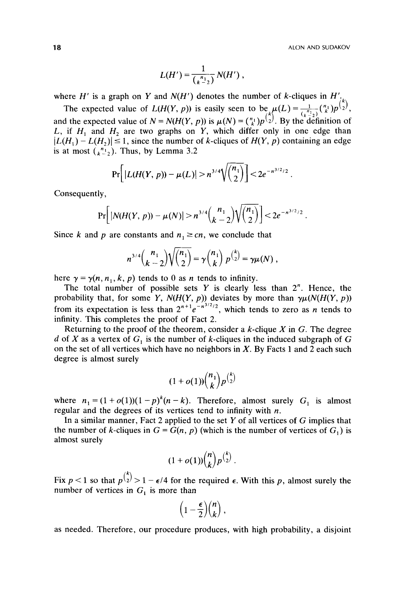$$
L(H') = \frac{1}{\binom{n_1}{k-2}} N(H'),
$$

where *H'* is a graph on *Y* and *N*(*H'*) denotes the number of *k*-cliques in  $H'_{i}$ 

The expected value of  $L(H(Y, p))$  is easily seen to be  $\mu(L) = \frac{1}{\ell^{(n)}(L)} p^{(n)}(k) p^{(n)}(k)$ and the expected value of  $N = N(H(Y, p))$  is  $\mu(N) = {n \choose k} p^{\binom{k}{2}}$ . By the definition of *L*, if  $H_1$  and  $H_2$  are two graphs on *Y*, which differ only in one edge than  $|L(H_1) - L(H_2)| \le 1$ , since the number of k-cliques of  $H(Y, p)$  containing an edge is at most  $\binom{n_1}{k-2}$ . Thus, by Lemma 3.2

$$
\Pr\bigg[\left|L(H(Y,\,p))-\mu(L)\right|>n^{3/4}\sqrt{\binom{n_1}{2}}\bigg] < 2e^{-n^{3/2}/2}
$$

Consequently,

$$
\Pr\bigg[|N(H(Y, p)) - \mu(N)| > n^{3/4}\binom{n_1}{k-2}\sqrt{\binom{n_1}{2}}\bigg] < 2e^{-n^{3/2}/2}.
$$

Since k and p are constants and  $n_1 \geq cn$ , we conclude that

$$
n^{3/4}\binom{n_1}{k-2}\sqrt{\binom{n_1}{2}} = \gamma\binom{n_1}{k} p^{\binom{k}{2}} = \gamma\mu(N) ,
$$

here  $\gamma = \gamma(n, n_1, k, p)$  tends to 0 as *n* tends to infinity.

The total number of possible sets  $Y$  is clearly less than  $2<sup>n</sup>$ . Hence, the probability that, for some *Y*,  $N(H(Y, p))$  deviates by more than  $\gamma \mu(N(H(Y, p))$ from its expectation is less than  $2^{n+1}e^{-n^{3/2}/2}$ , which tends to zero as *n* tends to infinity. This completes the proof of Fact 2.

Returning to the proof of the theorem, consider a k-clique *X* in **G.** The degree *d* of *X* as a vertex of G, **is** the number of k-cliques in the induced subgraph of G on the set of all vertices which have no neighbors in *X.* By Facts **1** and **2** each such degree is almost surely

$$
(1+o(1))\binom{n_1}{k}p^{\binom{k}{2}}
$$

where  $n_1 = (1 + o(1))(1 - p)^k (n - k)$ . Therefore, almost surely  $G_1$  is almost regular and the degrees of its vertices tend to infinity with *n.* 

In a similar manner, Fact **2** applied to the set *Y* of all vertices of G implies that the number of k-cliques in  $G = G(n, p)$  (which is the number of vertices of  $G_1$ ) is almost surely

$$
(1+o(1))\binom{n}{k}p^{\binom{k}{2}}.
$$

Fix  $p < 1$  so that  $p^{k/2} > 1 - \epsilon/4$  for the required  $\epsilon$ . With this p, almost surely the number of vertices in  $G_1$  is more than

$$
\left(1-\frac{\epsilon}{2}\right)\binom{n}{k},
$$

as needed. Therefore, **our** procedure produces, with high probability, a disjoint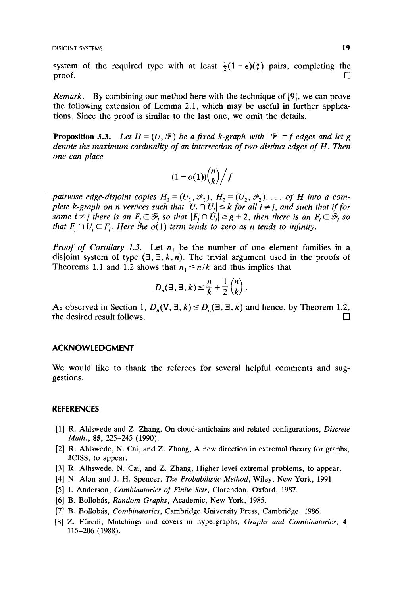system of the required type with at least  $\frac{1}{2}(1 - \epsilon)(\frac{n}{k})$  pairs, completing the proof. proof.  $\square$ 

*Remark. By* combining our method here with the technique of [9], we can prove the following extension of Lemma 2.1, which may be useful in further applications. Since the proof is similar to the last one, we omit the details.

**Proposition 3.3.** Let  $H = (U, \mathcal{F})$  be a fixed k-graph with  $|\mathcal{F}| = f$  edges and let g *denote the maximum cardinality of an intersection of two distinct edges of H. Then one can place* 

$$
(1-o(1))\binom{n}{k}/f
$$

*pairwise edge-disjoint copies*  $H_1 = (U_1, \mathcal{F}_1), H_2 = (U_2, \mathcal{F}_2), \ldots$  *of H into a complete k-graph on n vertices such that*  $|U_i \cap U_j| \leq k$  *for all*  $i \neq j$ *, and such that if for some i*  $\neq$  *j* there is an  $F_i \in \mathcal{F}_i$  so that  $|F_i \cap U_i| \geq g+2$ , then there is an  $F_i \in \mathcal{F}_i$  so *that*  $F_i \cap U_i \subset F_i$ . Here the  $o(1)$  *term tends to zero as n tends to infinity.* 

*Proof of Corollary 1.3.* Let  $n_1$  be the number of one element families in a disjoint system of type  $(\exists, \exists, k, n)$ . The trivial argument used in the proofs of Theorems 1.1 and 1.2 shows that  $n_1 \le n/k$  and thus implies that

$$
D_n(\exists, \exists, k) \leq \frac{n}{k} + \frac{1}{2} \binom{n}{k}.
$$

As observed in Section 1,  $D_n(\forall, \exists, k) \le D_n(\exists, \exists, k)$  and hence, by Theorem 1.2, the desired result follows. the desired result follows.

#### **ACKNOWLEDGMENT**

We would like to thank the referees for several helpful comments and suggestions.

#### **REFERENCES**

- **[l] R. Ahlswede and** *Z.* **Zhang, On cloud-antichains and related configurations,** *Discrete Math., 85,* **225-245 (1990).**
- **[2] R. Ahlswede, N. Cai, and Z. Zhang, A new direction in extremal theory for graphs, JCISS, to appear.**
- **[3] R. Alhswede, N. Cai, and Z. Zhang, Higher level extremal problems, to appear.**
- **[4] N. Alon and** J. **H. Spencer,** *The Probabilistic Method,* **Wiley, New York, 1991.**
- **[5] I. Anderson,** *Combinatorics of Finite Sets,* **Clarendon, Oxford, 1987.**
- [6] B. Bollobás, *Random Graphs*, Academic, New York, 1985.
- **[7] B. Bollobas,** *Combinatorics,* **Cambridge University Press, Cambridge, 1986.**
- **[8]** *Z.* **Furedi, Matchings and covers in hypergraphs,** *Graphs and Combinatorics,* **4, 115-206 (1988).**